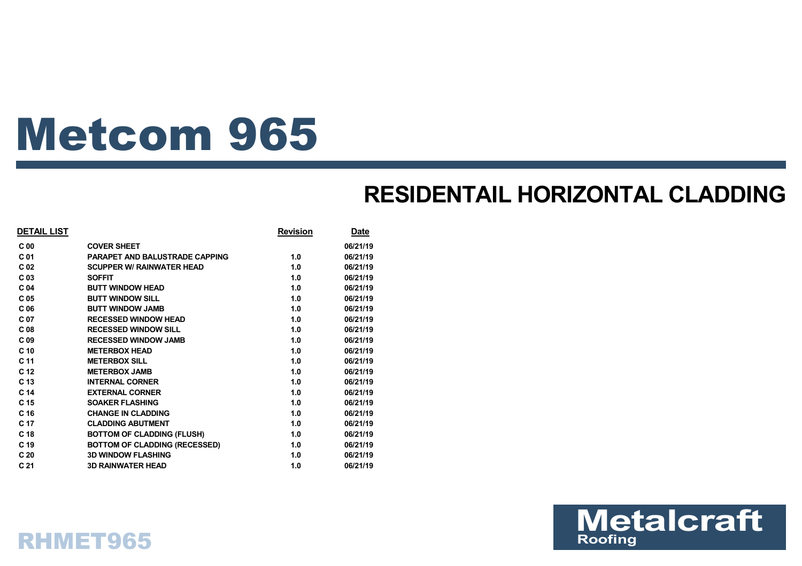# Metcom 965

### **RESIDENTAIL HORIZONTAL CLADDING**

| <b>DETAIL LIST</b> |                                       | <b>Revision</b> | <b>Date</b> |
|--------------------|---------------------------------------|-----------------|-------------|
| C <sub>00</sub>    | <b>COVER SHEET</b>                    |                 | 06/21/19    |
| C <sub>01</sub>    | <b>PARAPET AND BALUSTRADE CAPPING</b> | 1.0             | 06/21/19    |
| C <sub>02</sub>    | <b>SCUPPER W/ RAINWATER HEAD</b>      | 1.0             | 06/21/19    |
| C <sub>03</sub>    | <b>SOFFIT</b>                         | 1.0             | 06/21/19    |
| C <sub>04</sub>    | <b>BUTT WINDOW HEAD</b>               | 1.0             | 06/21/19    |
| C <sub>05</sub>    | <b>BUTT WINDOW SILL</b>               | 1.0             | 06/21/19    |
| C <sub>06</sub>    | <b>BUTT WINDOW JAMB</b>               | 1.0             | 06/21/19    |
| C 07               | <b>RECESSED WINDOW HEAD</b>           | 1.0             | 06/21/19    |
| C <sub>08</sub>    | <b>RECESSED WINDOW SILL</b>           | 1.0             | 06/21/19    |
| C <sub>09</sub>    | <b>RECESSED WINDOW JAMB</b>           | 1.0             | 06/21/19    |
| C <sub>10</sub>    | <b>METERBOX HEAD</b>                  | 1.0             | 06/21/19    |
| C <sub>11</sub>    | <b>METERBOX SILL</b>                  | 1.0             | 06/21/19    |
| C <sub>12</sub>    | <b>METERBOX JAMB</b>                  | 1.0             | 06/21/19    |
| C <sub>13</sub>    | <b>INTERNAL CORNER</b>                | 1.0             | 06/21/19    |
| C <sub>14</sub>    | <b>EXTERNAL CORNER</b>                | 1.0             | 06/21/19    |
| C <sub>15</sub>    | <b>SOAKER FLASHING</b>                | 1.0             | 06/21/19    |
| C <sub>16</sub>    | <b>CHANGE IN CLADDING</b>             | 1.0             | 06/21/19    |
| C <sub>17</sub>    | <b>CLADDING ABUTMENT</b>              | 1.0             | 06/21/19    |
| C <sub>18</sub>    | <b>BOTTOM OF CLADDING (FLUSH)</b>     | 1.0             | 06/21/19    |
| C <sub>19</sub>    | <b>BOTTOM OF CLADDING (RECESSED)</b>  | 1.0             | 06/21/19    |
| C <sub>20</sub>    | <b>3D WINDOW FLASHING</b>             | 1.0             | 06/21/19    |
| C <sub>21</sub>    | <b>3D RAINWATER HEAD</b>              | 1.0             | 06/21/19    |



### RHMET965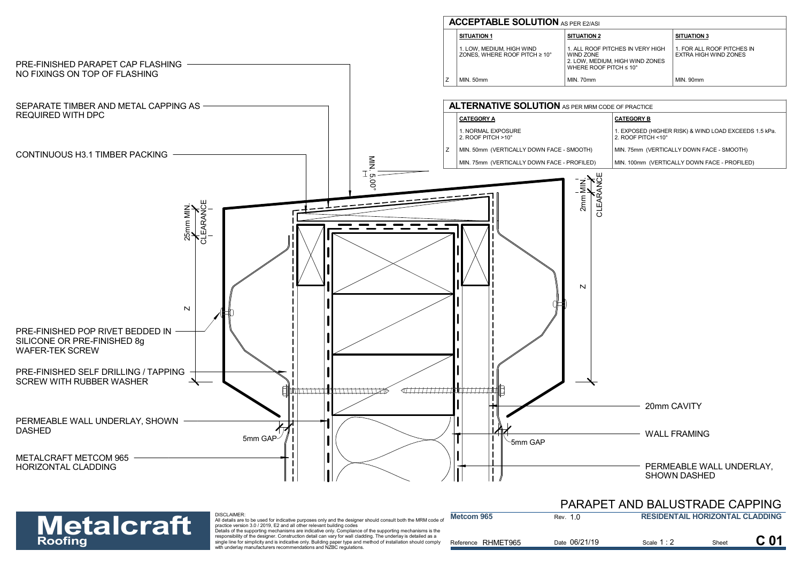

**Metcom 965**



DISCLAIMER: All details are to be used for indicative purposes only and the designer should consult both the MRM code of<br>practice version 3.0 / 2019, E2 and all other relevant building codes<br>Details of the supporting mechanisms are in

responsibility of the designer. Construction detail can vary for wall cladding. The underlay is detailed as a **Roofing** and the signer. Construction detail can vary for wall cladding. The underlay is detailed as a<br>single line for simplicity and is indicative only. Building paper type and method of installation should comply<br>**Refer** 

|         | PARAPET AND BALUSTRADE CAPPING         |
|---------|----------------------------------------|
| Rev. 10 | <b>RESIDENTAIL HORIZONTAL CLADDING</b> |

| Reference RHMET965 | Date 06/21/19 | Scale $1:2$ | Sheet | C <sub>01</sub> |
|--------------------|---------------|-------------|-------|-----------------|
|                    |               |             |       |                 |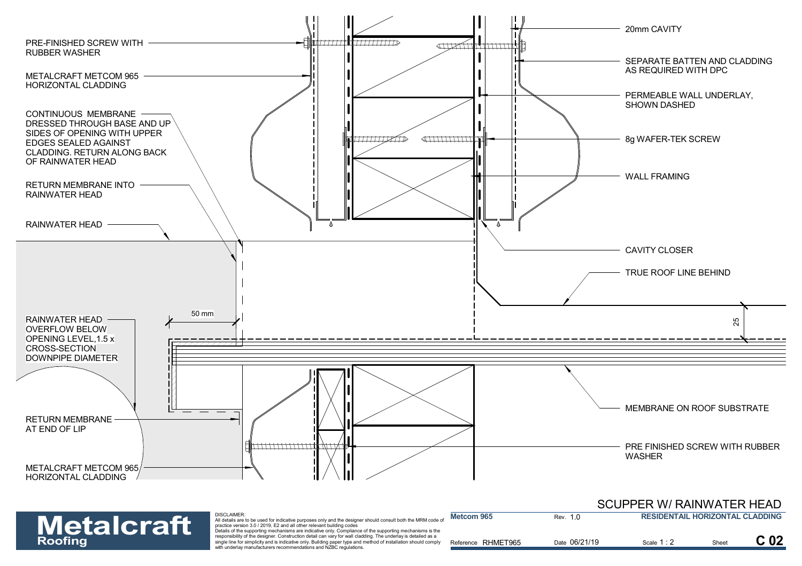

| <b>Metalcraft</b> | <b>DISCLAIMER:</b><br>All details are to be used for indicative purposes only and the designer should consult both the MRM code o<br>practice version 3.0 / 2019. E2 and all other relevant building codes                                                                                                                                                                                                        | Metcom 965            | Rev. 1.0      | <b>RESIDENTAIL HORIZONTAL CLADDING</b> |       |                 |
|-------------------|-------------------------------------------------------------------------------------------------------------------------------------------------------------------------------------------------------------------------------------------------------------------------------------------------------------------------------------------------------------------------------------------------------------------|-----------------------|---------------|----------------------------------------|-------|-----------------|
| <b>Roofing</b>    | Details of the supporting mechanisms are indicative only. Compliance of the supporting mechanisms is the<br>responsibility of the designer. Construction detail can vary for wall cladding. The underlay is detailed as a<br>single line for simplicity and is indicative only. Building paper type and method of installation should comply<br>with underlay manufacturers recommendations and NZBC regulations. | RHMET965<br>Reference | Date 06/21/19 | Scale 1 : 2                            | Sheet | C <sub>02</sub> |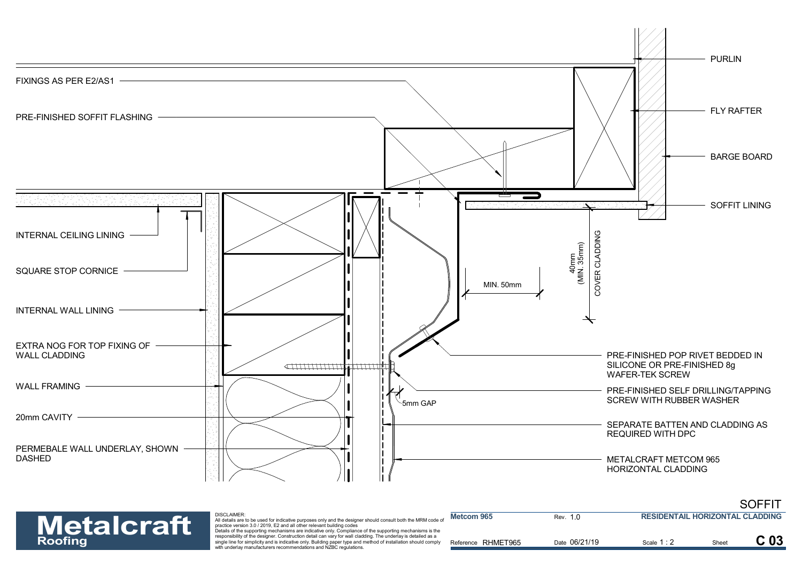



| <b>Metalcraft</b> | <b>DISCLAIMER:</b><br>All details are to be used for indicative purposes only and the designer should consult both the MRM code of<br>practice version 3.0 / 2019. E2 and all other relevant building codes                                                                                                                                                                                                       | Metcom 965            | Rev. 10       | <b>RESIDENTAIL HORIZONTAL CLADDING</b> |  |
|-------------------|-------------------------------------------------------------------------------------------------------------------------------------------------------------------------------------------------------------------------------------------------------------------------------------------------------------------------------------------------------------------------------------------------------------------|-----------------------|---------------|----------------------------------------|--|
| <b>Roofing</b>    | Details of the supporting mechanisms are indicative only. Compliance of the supporting mechanisms is the<br>responsibility of the designer. Construction detail can vary for wall cladding. The underlay is detailed as a<br>single line for simplicity and is indicative only. Building paper type and method of installation should comply<br>with underlay manufacturers recommendations and NZBC regulations. | RHMET965<br>Reference | Date 06/21/19 | Scale 1 : 2                            |  |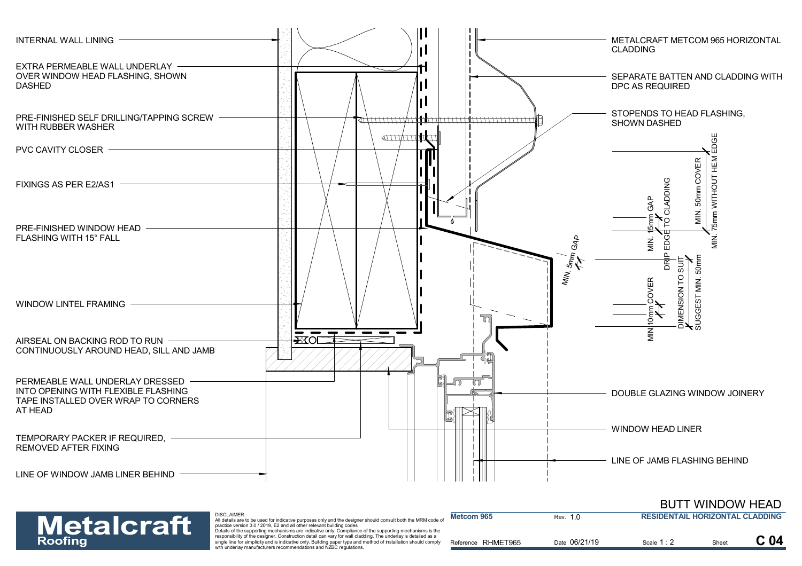



| <b>Metalcraft</b> | <b>DISCLAIMER:</b><br>All details are to be used for indicative purposes only and the designer should consult both the MRM code of<br>practice version 3.0 / 2019. E2 and all other relevant building codes<br>Details of the supporting mechanisms are indicative only. Compliance of the supporting mechanisms is the | Metcom 965            | Rev. 1.0      | <b>RESIDENTAIL HORIZONTAL CLADDING</b> |       |  |
|-------------------|-------------------------------------------------------------------------------------------------------------------------------------------------------------------------------------------------------------------------------------------------------------------------------------------------------------------------|-----------------------|---------------|----------------------------------------|-------|--|
| <b>Roofing</b>    | responsibility of the designer. Construction detail can vary for wall cladding. The underlay is detailed as a<br>single line for simplicity and is indicative only. Building paper type and method of installation should comply<br>with underlay manufacturers recommendations and NZBC regulations.                   | RHMET965<br>Reference | Date 06/21/19 | Scale 1:2                              | Sheet |  |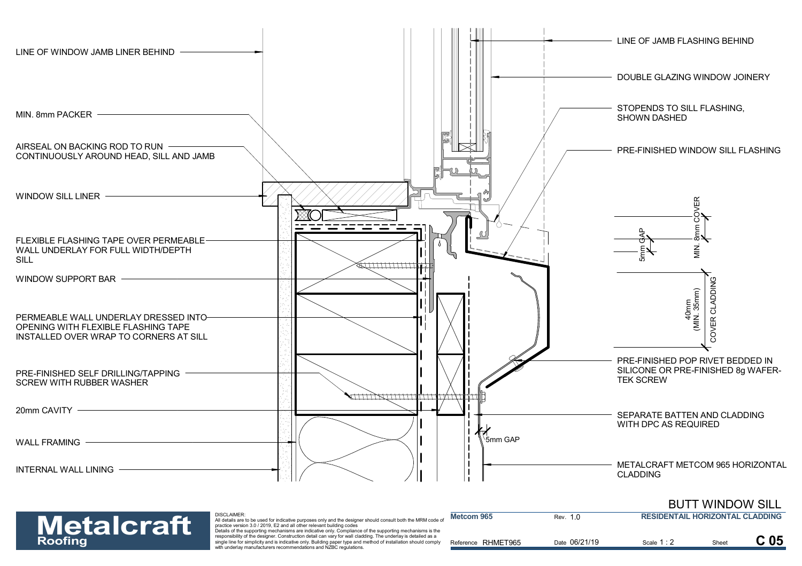



| <b>Metalcraft</b> | <b>DISCLAIMER:</b><br>All details are to be used for indicative purposes only and the designer should consult both the MRM code of<br>practice version 3.0 / 2019. E2 and all other relevant building codes<br>Details of the supporting mechanisms are indicative only. Compliance of the supporting mechanisms is the | Metcom 965         | Rev. 1.0      | <b>RESIDENTAIL HORIZONTAL CLADDING</b> |       |  |
|-------------------|-------------------------------------------------------------------------------------------------------------------------------------------------------------------------------------------------------------------------------------------------------------------------------------------------------------------------|--------------------|---------------|----------------------------------------|-------|--|
| <b>Roofing</b>    | responsibility of the designer. Construction detail can vary for wall cladding. The underlay is detailed as a<br>single line for simplicity and is indicative only. Building paper type and method of installation should comply<br>with underlay manufacturers recommendations and NZBC regulations.                   | Reference RHMET965 | Date 06/21/19 | Scale 1 : 2                            | Sheet |  |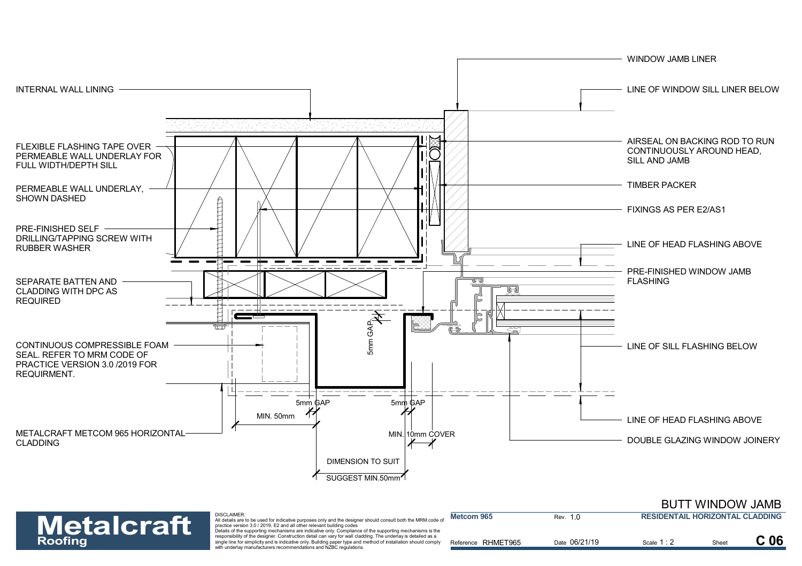

#### BUTT WINDOW JAMB



| <b>Metalcraft</b> | <b>DISCLAIMER</b><br>All details are to be used for indicative purposes only and the designer should consult both the MRM code of<br>practice version 3.0 / 2019. E2 and all other relevant building codes                                                                                                                                                                                                        | Metcom 965         | Rev.          | <b>RESIDENTAIL HORIZONTAL CLADDING</b> |      |                 |
|-------------------|-------------------------------------------------------------------------------------------------------------------------------------------------------------------------------------------------------------------------------------------------------------------------------------------------------------------------------------------------------------------------------------------------------------------|--------------------|---------------|----------------------------------------|------|-----------------|
| <b>Roofing</b>    | Details of the supporting mechanisms are indicative only. Compliance of the supporting mechanisms is the<br>responsibility of the designer. Construction detail can vary for wall cladding. The underlay is detailed as a<br>single line for simplicity and is indicative only. Building paper type and method of installation should comply<br>with underlay manufacturers recommendations and NZBC regulations. | Reference RHMET965 | Date 06/21/19 | Scale $1:2$                            | Shee | C <sub>06</sub> |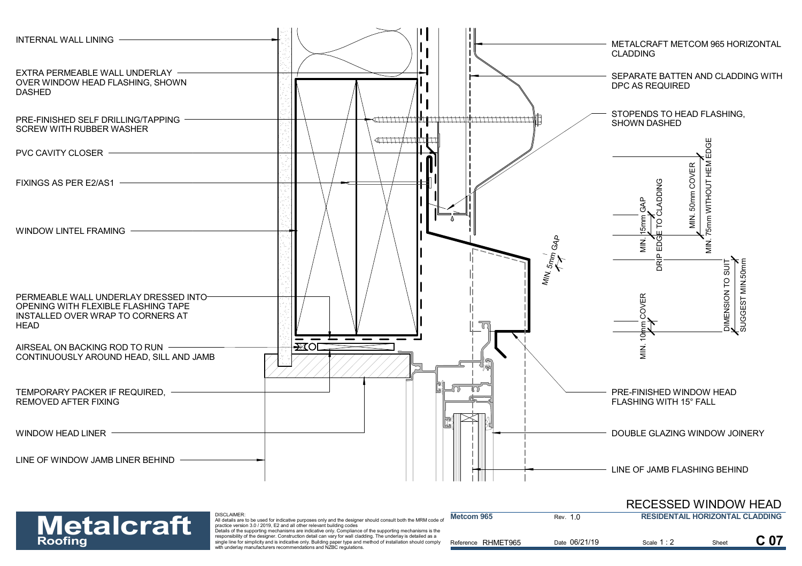

### RECESSED WINDOW HEAD



DISCLAIMER: All details are to be used for indicative purposes only and the designer should consult both the MRM code of<br>practice version 3.0 / 2019, E2 and all other relevant building codes<br>Details of the supporting mechanisms are in

| <b>Metalcraft</b> | DISCLAIMER:<br>All details are to be used for indicative purposes only and the designer should consult both the MRM code of<br>practice version 3.0 / 2019. E2 and all other relevant building codes<br>Details of the supporting mechanisms are indicative only. Compliance of the supporting mechanisms is the | <b>Metcom 965</b>     | Rev. 1.0      | <b>RESIDENTAIL HORIZONTAL CLADDING</b> |       |                 |
|-------------------|------------------------------------------------------------------------------------------------------------------------------------------------------------------------------------------------------------------------------------------------------------------------------------------------------------------|-----------------------|---------------|----------------------------------------|-------|-----------------|
| <b>Roofing</b>    | responsibility of the designer. Construction detail can vary for wall cladding. The underlay is detailed as a<br>single line for simplicity and is indicative only. Building paper type and method of installation should comply<br>with underlay manufacturers recommendations and NZBC regulations.            | RHMET965<br>Reference | Date 06/21/19 | Scale 1:2                              | Sheet | C <sub>07</sub> |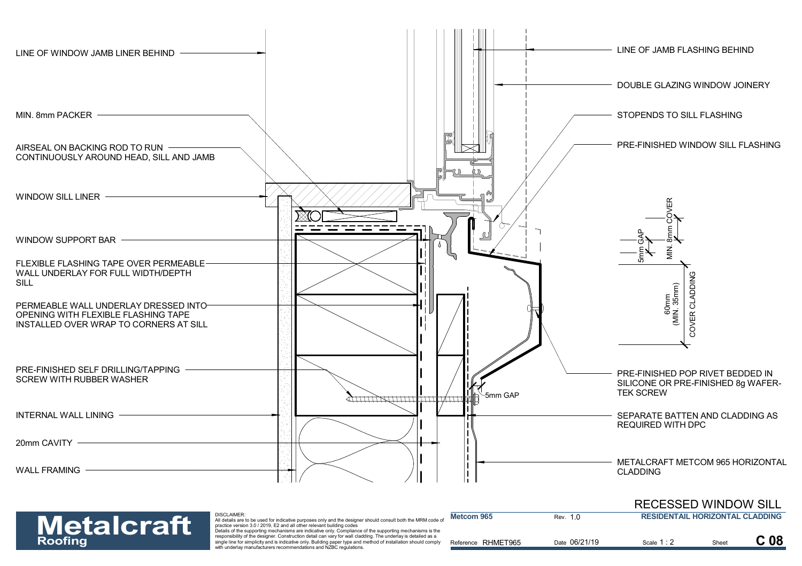



| <b>Metalcraft</b> | <b>DISCLAIMER:</b><br>All details are to be used for indicative purposes only and the designer should consult both the MRM code of<br>practice version 3.0 / 2019. E2 and all other relevant building codes                                                                                                                                                                                                       | Metcom 965         | Rev. 1.0      | <b>RESIDENTAIL HORIZONTAL CLADDING</b> |       |                 |
|-------------------|-------------------------------------------------------------------------------------------------------------------------------------------------------------------------------------------------------------------------------------------------------------------------------------------------------------------------------------------------------------------------------------------------------------------|--------------------|---------------|----------------------------------------|-------|-----------------|
| Roofing           | Details of the supporting mechanisms are indicative only. Compliance of the supporting mechanisms is the<br>responsibility of the designer. Construction detail can vary for wall cladding. The underlay is detailed as a<br>single line for simplicity and is indicative only. Building paper type and method of installation should comply<br>with underlay manufacturers recommendations and NZBC regulations. | Reference RHMET965 | Date 06/21/19 | Scale 1 : 2                            | Sheet | C <sub>08</sub> |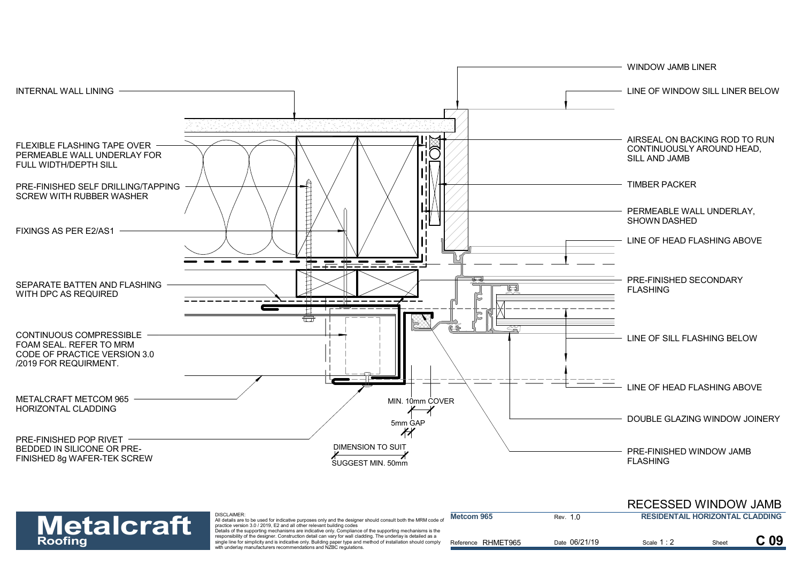



| <b>Metalcraft</b> | DISCLAIMER:<br>All details are to be used for indicative purposes only and the designer should consult both the MRM code of<br>practice version 3.0 / 2019. E2 and all other relevant building codes                                                                                                                                                                                                              | <b>Metcom 965</b>  | Rev. 1.0      | <b>RESIDENTAIL HORIZONTAL CLADDING</b> |       |                 |
|-------------------|-------------------------------------------------------------------------------------------------------------------------------------------------------------------------------------------------------------------------------------------------------------------------------------------------------------------------------------------------------------------------------------------------------------------|--------------------|---------------|----------------------------------------|-------|-----------------|
| <b>Roofing</b>    | Details of the supporting mechanisms are indicative only. Compliance of the supporting mechanisms is the<br>responsibility of the designer. Construction detail can vary for wall cladding. The underlay is detailed as a<br>single line for simplicity and is indicative only. Building paper type and method of installation should comply<br>with underlay manufacturers recommendations and NZBC regulations. | Reference RHMET965 | Date 06/21/19 | Scale 1:                               | Sheet | C <sub>09</sub> |

RECESSED WINDOW JAMB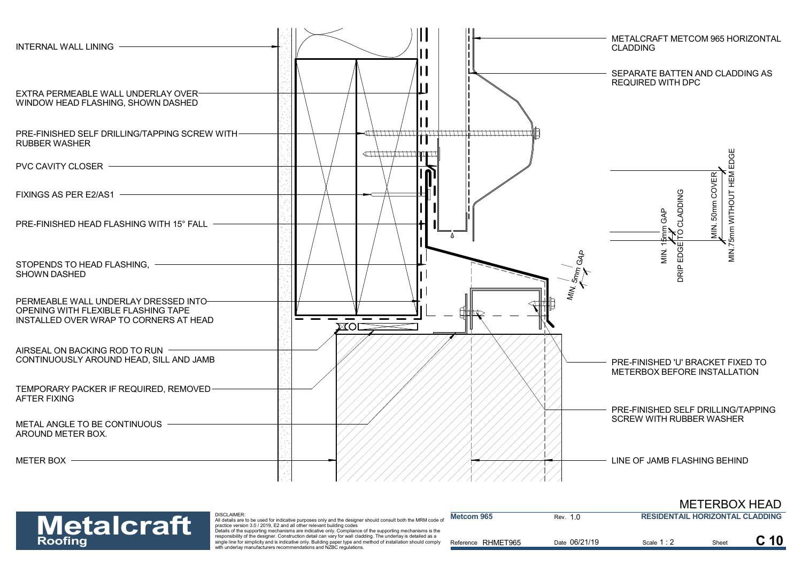



| <b>Metalcraft</b> | DISCLAIMER:<br>All details are to be used for indicative purposes only and the designer should consult both the MRM code of<br>practice version 3.0 / 2019. E2 and all other relevant building codes<br>Details of the supporting mechanisms are indicative only. Compliance of the supporting mechanisms is the | Metcom 965         | Rev. 1.0      | RESIDENTAIL HORIZONTAL CLADDING |       |  |
|-------------------|------------------------------------------------------------------------------------------------------------------------------------------------------------------------------------------------------------------------------------------------------------------------------------------------------------------|--------------------|---------------|---------------------------------|-------|--|
| <b>Roofing</b>    | responsibility of the designer. Construction detail can vary for wall cladding. The underlay is detailed as a<br>single line for simplicity and is indicative only. Building paper type and method of installation should comply<br>with underlay manufacturers recommendations and NZBC regulations.            | Reference RHMET965 | Date 06/21/19 | Scale 1:2                       | Sheet |  |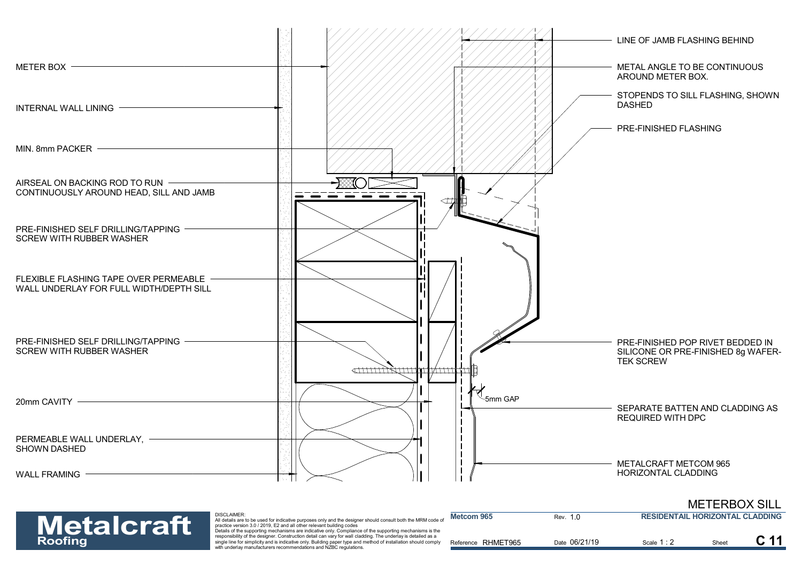

METERBOX SILL



| <b>Metalcraft</b> | DISCLAIMER:<br>All details are to be used for indicative purposes only and the designer should consult both the MRM code of<br>practice version 3.0 / 2019. E2 and all other relevant building codes                                                                                                                                                                                                              | Metcom 965         | Rev. 1.0      | <b>RESIDENTAIL HORIZONTAL CLADDING</b> |       |  |
|-------------------|-------------------------------------------------------------------------------------------------------------------------------------------------------------------------------------------------------------------------------------------------------------------------------------------------------------------------------------------------------------------------------------------------------------------|--------------------|---------------|----------------------------------------|-------|--|
| <b>Roofing</b>    | Details of the supporting mechanisms are indicative only. Compliance of the supporting mechanisms is the<br>responsibility of the designer. Construction detail can vary for wall cladding. The underlay is detailed as a<br>single line for simplicity and is indicative only. Building paper type and method of installation should comply<br>with underlay manufacturers recommendations and NZBC regulations. | Reference RHMET965 | Date 06/21/19 | Scale 1 : <b>.</b>                     | Sheet |  |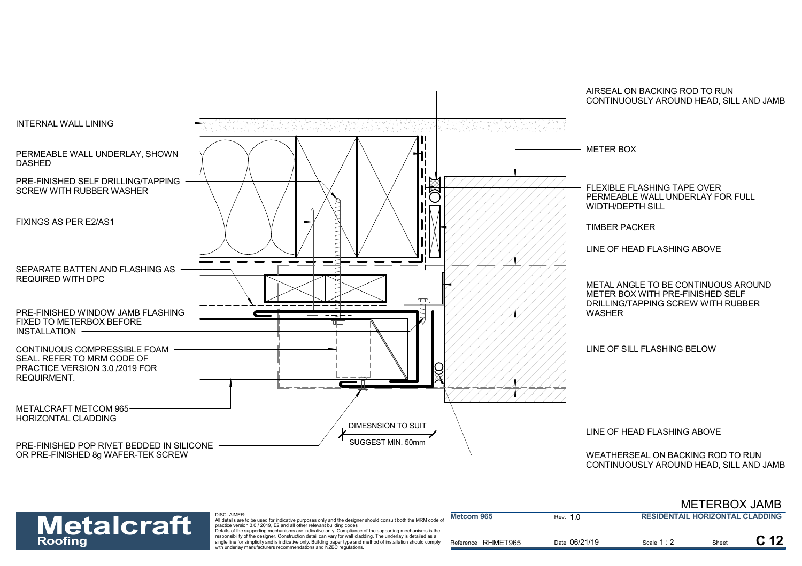

| <b>Metalcraft</b> | <b>DISCLAIMER:</b><br>All details are to be used for indicative purposes only and the designer should consult both the MRM code of<br>practice version 3.0 / 2019. E2 and all other relevant building codes                                                                                                                                                                                                       | Metcom 965         | Rev. 1.0      | <b>RESIDENTAIL HORIZONTAL CLADDING</b> |       |  |
|-------------------|-------------------------------------------------------------------------------------------------------------------------------------------------------------------------------------------------------------------------------------------------------------------------------------------------------------------------------------------------------------------------------------------------------------------|--------------------|---------------|----------------------------------------|-------|--|
| <b>Roofing</b>    | Details of the supporting mechanisms are indicative only. Compliance of the supporting mechanisms is the<br>responsibility of the designer. Construction detail can vary for wall cladding. The underlay is detailed as a<br>single line for simplicity and is indicative only. Building paper type and method of installation should comply<br>with underlay manufacturers recommendations and NZBC regulations. | Reference RHMET965 | Date 06/21/19 | Scale 1:2                              | Sheet |  |

METERBOX JAMB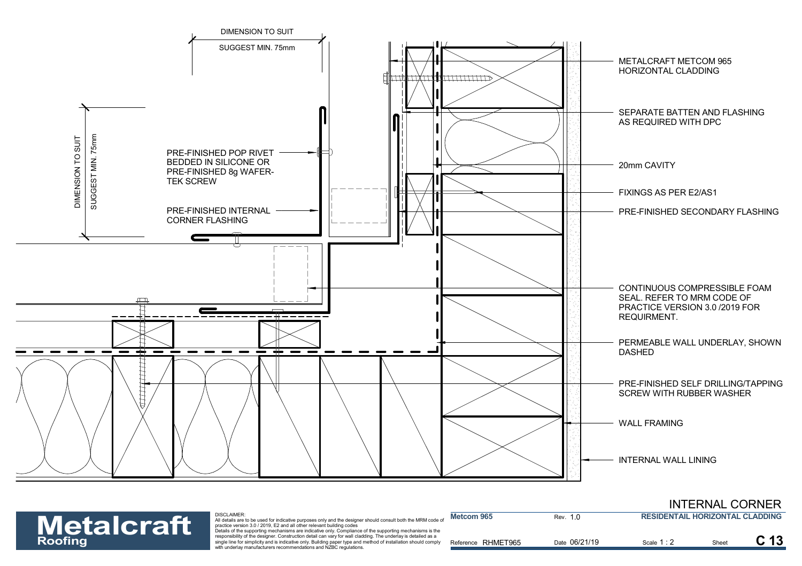

| <b>Metalcraft</b> | <b>DISCLAIMER:</b><br>All details are to be used for indicative purposes only and the designer should consult both the MRM code of<br>practice version 3.0 / 2019. E2 and all other relevant building codes                                                                                                                                                                                                       | Metcom 965            | Rev. 1.0      | <b>RESIDENTAIL HORIZONTAL CLADDING</b> |       |  |
|-------------------|-------------------------------------------------------------------------------------------------------------------------------------------------------------------------------------------------------------------------------------------------------------------------------------------------------------------------------------------------------------------------------------------------------------------|-----------------------|---------------|----------------------------------------|-------|--|
| <b>Roofing</b>    | Details of the supporting mechanisms are indicative only. Compliance of the supporting mechanisms is the<br>responsibility of the designer. Construction detail can vary for wall cladding. The underlay is detailed as a<br>single line for simplicity and is indicative only. Building paper type and method of installation should comply<br>with underlay manufacturers recommendations and NZBC regulations. | RHMET965<br>Reference | Date 06/21/19 | Scale 1:2                              | Sheet |  |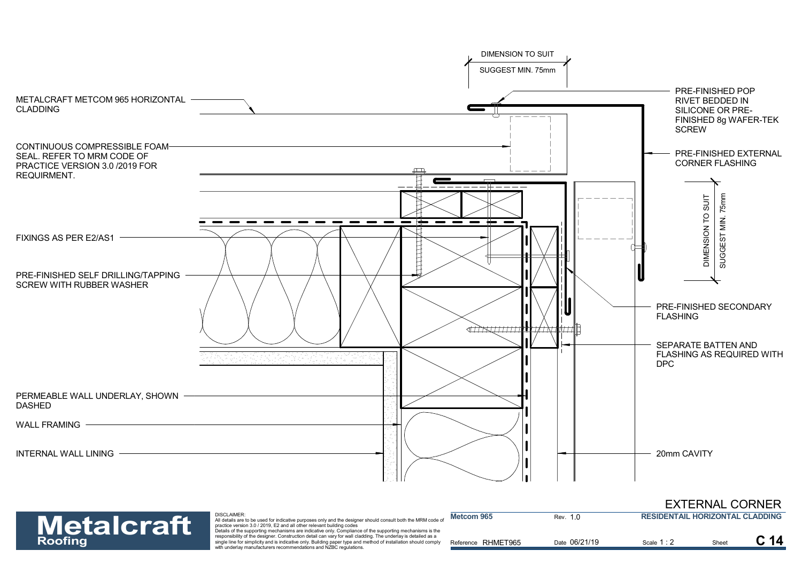

**Metcom 965**

#### EXTERNAL CORNER **RESIDENTAIL HORIZONTAL CLADDING**

| <b>Metalcraft</b> | DISCLAIMER:<br>All details are to be used for indicative purposes only and the designer should consult both the MRM code of<br>practice version 3.0 / 2019. E2 and all other relevant building codes<br>Details of the supporting mechanisms are indicative only. Compliance of the supporting mechanisms is the | Metcom 965         | Rev. 1.0      | <b>RESIDENTAIL HORIZONTAL CLADDING</b> |       |                 |
|-------------------|------------------------------------------------------------------------------------------------------------------------------------------------------------------------------------------------------------------------------------------------------------------------------------------------------------------|--------------------|---------------|----------------------------------------|-------|-----------------|
| <b>Roofing</b>    | responsibility of the designer. Construction detail can vary for wall cladding. The underlay is detailed as a<br>single line for simplicity and is indicative only. Building paper type and method of installation should comply<br>with underlay manufacturers recommendations and NZBC regulations.            | Reference RHMET965 | Date 06/21/19 | Scale 1:2                              | Sheet | C <sub>14</sub> |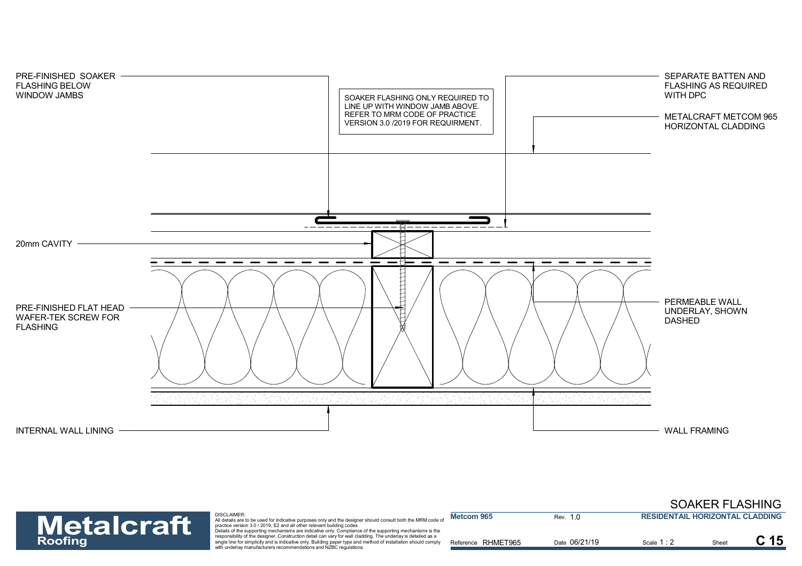

#### Rev. 1.0 SOAKER FLASHING **RESIDENTAIL HORIZONTAL CLADDING**



| <b>Metalcraft</b> | <b>DISCLAIMER:</b><br>All details are to be used for indicative purposes only and the designer should consult both the MRM code of<br>practice version 3.0 / 2019. E2 and all other relevant building codes<br>Details of the supporting mechanisms are indicative only. Compliance of the supporting mechanisms is the | Metcom 965         | Rev. 1.0      | <b>RESIDENTAIL HORIZONTAL CLADDING</b> |       |                 |
|-------------------|-------------------------------------------------------------------------------------------------------------------------------------------------------------------------------------------------------------------------------------------------------------------------------------------------------------------------|--------------------|---------------|----------------------------------------|-------|-----------------|
| <b>Roofing</b>    | responsibility of the designer. Construction detail can vary for wall cladding. The underlay is detailed as a<br>single line for simplicity and is indicative only. Building paper type and method of installation should comply<br>with underlay manufacturers recommendations and NZBC regulations.                   | Reference RHMET965 | Date 06/21/19 | Scale 1 : 2                            | Sheet | C <sub>15</sub> |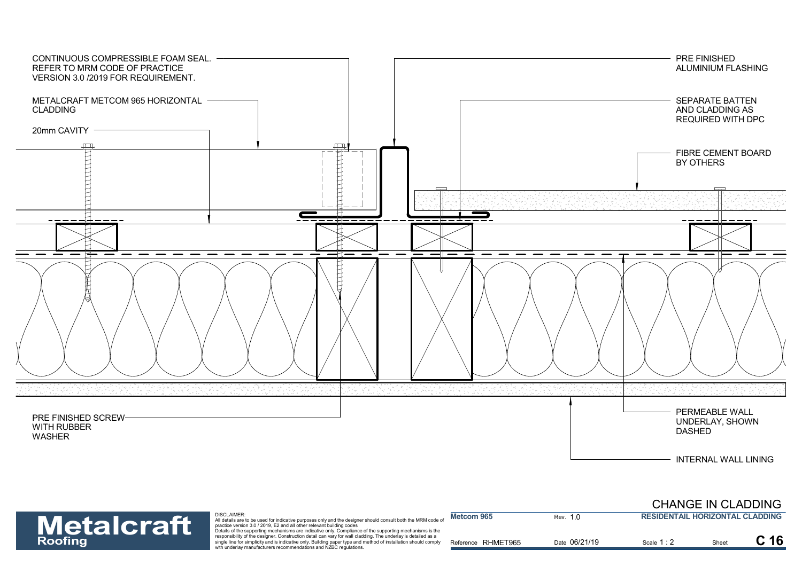

#### CHANGE IN CLADDING

# **Metalcraft**

| <b>Metalcraft</b> | DISCLAIMER:<br>$\dot{a}$ All details are to be used for indicative purposes only and the designer should consult both the MRM code or<br>practice version 3.0 / 2019. E2 and all other relevant building codes                                                                                                                                                                                                    | Metcom 965         | Rev. 1.0      | <b>RESIDENTAIL HORIZONTAL CLADDING</b> |       |      |
|-------------------|-------------------------------------------------------------------------------------------------------------------------------------------------------------------------------------------------------------------------------------------------------------------------------------------------------------------------------------------------------------------------------------------------------------------|--------------------|---------------|----------------------------------------|-------|------|
| <b>Roofing</b>    | Details of the supporting mechanisms are indicative only. Compliance of the supporting mechanisms is the<br>responsibility of the designer. Construction detail can vary for wall cladding. The underlay is detailed as a<br>single line for simplicity and is indicative only. Building paper type and method of installation should comply<br>with underlay manufacturers recommendations and NZBC regulations. | Reference RHMET965 | Date 06/21/19 | Scale 1:                               | Sheet | C 16 |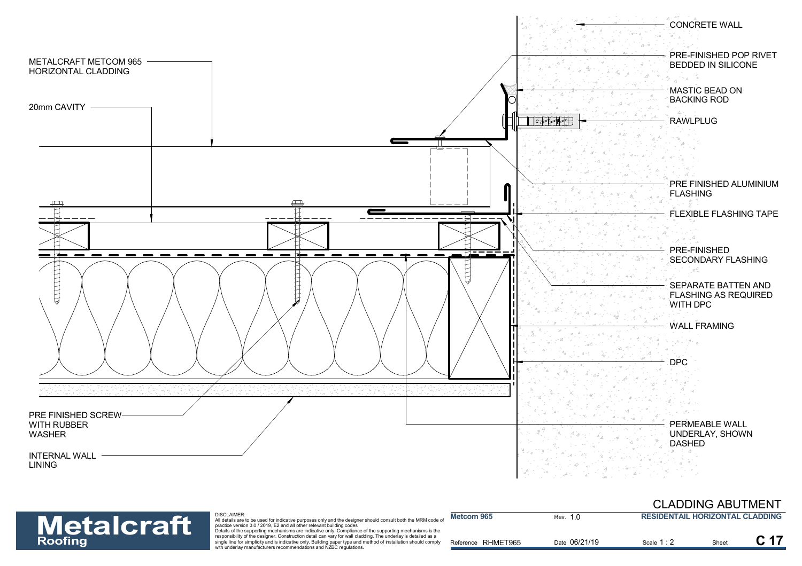![](_page_17_Figure_0.jpeg)

## **Metalcraft**

| <b>Metalcraft</b> | DISCLAIMER:<br>All details are to be used for indicative purposes only and the designer should consult both the MRM code of<br>practice version 3.0 / 2019. E2 and all other relevant building codes                                                                                                                                                                                                              | Metcom 965         | Rev. 10       | <b>RESIDENTAIL HORIZONTAL CLADDING</b> |       |  |
|-------------------|-------------------------------------------------------------------------------------------------------------------------------------------------------------------------------------------------------------------------------------------------------------------------------------------------------------------------------------------------------------------------------------------------------------------|--------------------|---------------|----------------------------------------|-------|--|
| <b>Roofing</b>    | Details of the supporting mechanisms are indicative only. Compliance of the supporting mechanisms is the<br>responsibility of the designer. Construction detail can vary for wall cladding. The underlay is detailed as a<br>single line for simplicity and is indicative only. Building paper type and method of installation should comply<br>with underlay manufacturers recommendations and NZBC regulations. | Reference RHMET965 | Date 06/21/19 | Scale 1:                               | Sheet |  |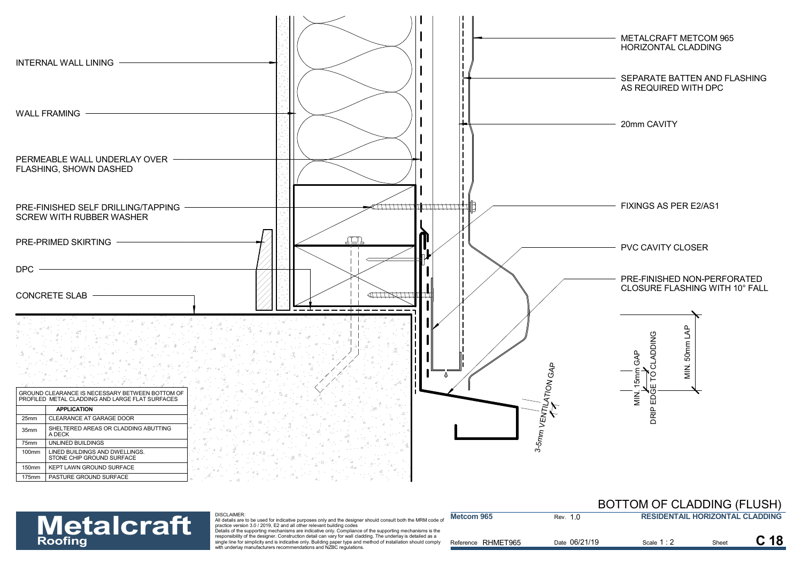![](_page_18_Figure_0.jpeg)

| <b>BOTTOM OF CLADDING (FLUSH)</b>       |  |
|-----------------------------------------|--|
| <b>DEAIREURAU HADISAUSAL AL ARDILIA</b> |  |

| <b>Metalcraft</b> | DISCLAIMER:<br>All details are to be used for indicative purposes only and the designer should consult both the MRM code of<br>practice version 3.0 / 2019. E2 and all other relevant building codes                                                                                                                                                                                                              | Metcom 965         | Rev. 1.0      | <b>RESIDENTAIL HORIZONTAL CLADDING</b> |      |  |
|-------------------|-------------------------------------------------------------------------------------------------------------------------------------------------------------------------------------------------------------------------------------------------------------------------------------------------------------------------------------------------------------------------------------------------------------------|--------------------|---------------|----------------------------------------|------|--|
| <b>Roofing</b>    | Details of the supporting mechanisms are indicative only. Compliance of the supporting mechanisms is the<br>responsibility of the designer. Construction detail can vary for wall cladding. The underlay is detailed as a<br>single line for simplicity and is indicative only. Building paper type and method of installation should comply<br>with underlay manufacturers recommendations and NZBC regulations. | Reference RHMET965 | Date 06/21/19 | Scale 1 : ∠                            | Shee |  |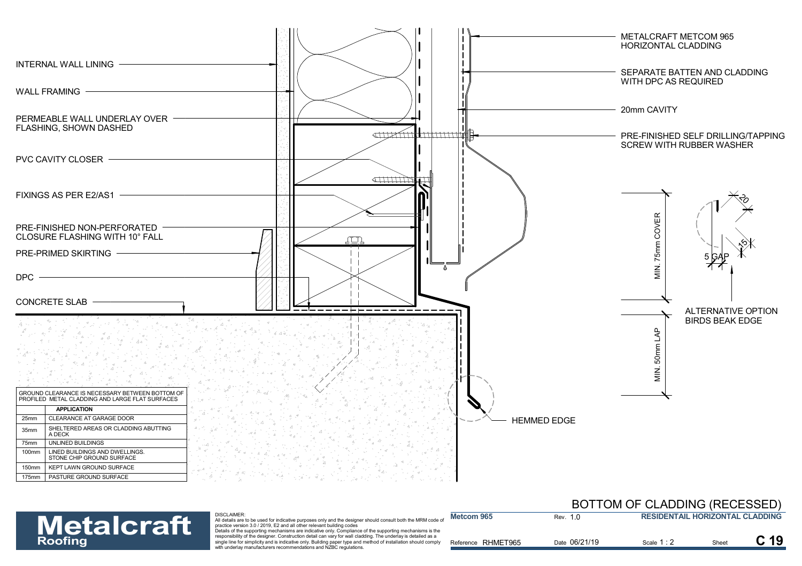![](_page_19_Figure_0.jpeg)

#### DISCLAIMER:

### BOTTOM OF CLADDING (RECESSED)

| <b>Metalcraft</b> | DISCLAIMER:<br>All details are to be used for indicative purposes only and the designer should consult both the MRM code of<br>practice version 3.0 / 2019. E2 and all other relevant building codes                                                                                                                                                                                                              | <b>Metcom 965</b>  | Rev. 1.0      | <b>RESIDENTAIL HORIZONTAL CLADDING</b> |      |  |
|-------------------|-------------------------------------------------------------------------------------------------------------------------------------------------------------------------------------------------------------------------------------------------------------------------------------------------------------------------------------------------------------------------------------------------------------------|--------------------|---------------|----------------------------------------|------|--|
| <b>Roofing</b>    | Details of the supporting mechanisms are indicative only. Compliance of the supporting mechanisms is the<br>responsibility of the designer. Construction detail can vary for wall cladding. The underlay is detailed as a<br>single line for simplicity and is indicative only. Building paper type and method of installation should comply<br>with underlay manufacturers recommendations and NZBC regulations. | Reference RHMET965 | Date 06/21/19 | Scale 1:2                              | Shee |  |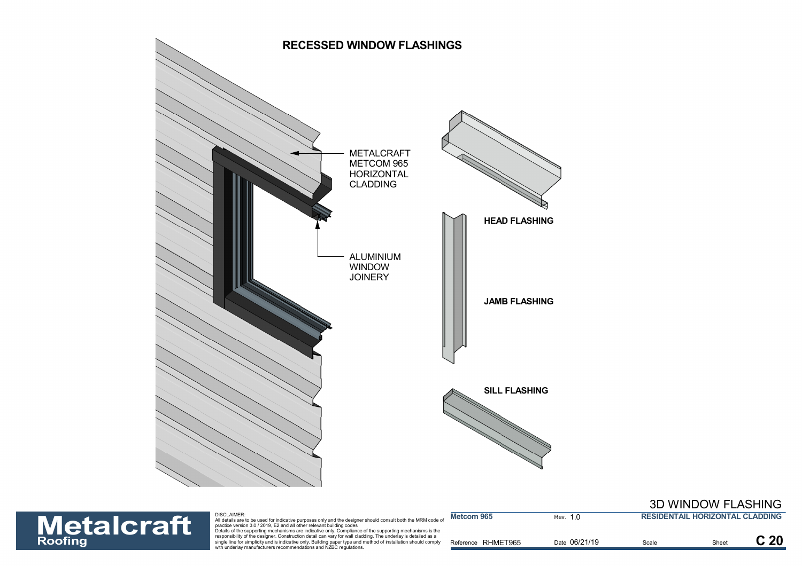![](_page_20_Figure_0.jpeg)

### 3D WINDOW FLASHING

![](_page_20_Picture_2.jpeg)

| <b>Metalcraft</b> | DISCLAIMER:<br>All details are to be used for indicative purposes only and the designer should consult both the MRM code of<br>practice version 3.0 / 2019. E2 and all other relevant building codes                                                                                                                                                                                                              | Metcom 965         | Rev. 1.0      | <b>RESIDENTAIL HORIZONTAL CLADDING</b> |                 |
|-------------------|-------------------------------------------------------------------------------------------------------------------------------------------------------------------------------------------------------------------------------------------------------------------------------------------------------------------------------------------------------------------------------------------------------------------|--------------------|---------------|----------------------------------------|-----------------|
| <b>Roofing</b>    | Details of the supporting mechanisms are indicative only. Compliance of the supporting mechanisms is the<br>responsibility of the designer. Construction detail can vary for wall cladding. The underlay is detailed as a<br>single line for simplicity and is indicative only. Building paper type and method of installation should comply<br>with underlay manufacturers recommendations and NZBC regulations. | Reference RHMET965 | Date 06/21/19 | Scale                                  | C <sub>20</sub> |